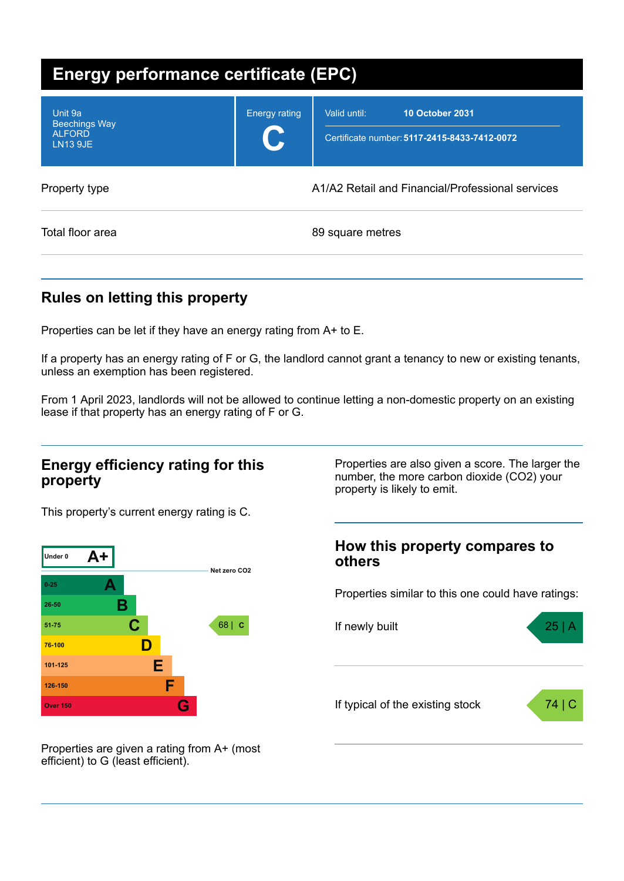| <b>Energy performance certificate (EPC)</b>                         |                                                  |                                                                                        |  |  |  |
|---------------------------------------------------------------------|--------------------------------------------------|----------------------------------------------------------------------------------------|--|--|--|
| Unit 9a<br><b>Beechings Way</b><br><b>ALFORD</b><br><b>LN13 9JE</b> | <b>Energy rating</b><br>U                        | Valid until:<br><b>10 October 2031</b><br>Certificate number: 5117-2415-8433-7412-0072 |  |  |  |
| Property type                                                       | A1/A2 Retail and Financial/Professional services |                                                                                        |  |  |  |
| Total floor area                                                    |                                                  | 89 square metres                                                                       |  |  |  |

## **Rules on letting this property**

Properties can be let if they have an energy rating from A+ to E.

If a property has an energy rating of F or G, the landlord cannot grant a tenancy to new or existing tenants, unless an exemption has been registered.

From 1 April 2023, landlords will not be allowed to continue letting a non-domestic property on an existing lease if that property has an energy rating of F or G.

### **Energy efficiency rating for this property**

This property's current energy rating is C.



Properties are also given a score. The larger the number, the more carbon dioxide (CO2) your property is likely to emit.

### **How this property compares to others**

Properties similar to this one could have ratings:



Properties are given a rating from A+ (most efficient) to G (least efficient).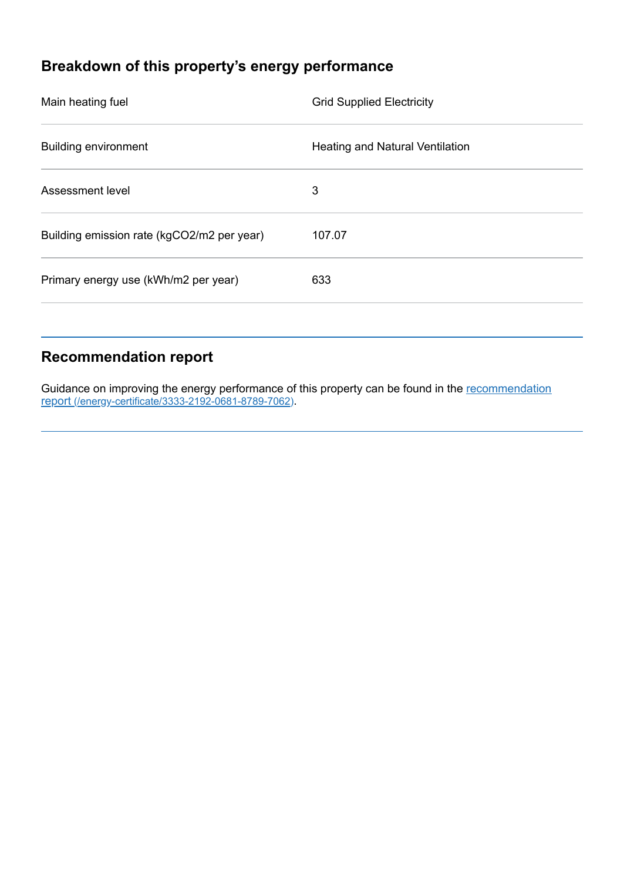# **Breakdown of this property's energy performance**

| Main heating fuel                          | <b>Grid Supplied Electricity</b>       |  |
|--------------------------------------------|----------------------------------------|--|
| <b>Building environment</b>                | <b>Heating and Natural Ventilation</b> |  |
| Assessment level                           | 3                                      |  |
| Building emission rate (kgCO2/m2 per year) | 107.07                                 |  |
| Primary energy use (kWh/m2 per year)       | 633                                    |  |
|                                            |                                        |  |

## **Recommendation report**

Guidance on improving the energy performance of this property can be found in the recommendation report [\(/energy-certificate/3333-2192-0681-8789-7062\)](https://find-energy-certificate.digital.communities.gov.uk/energy-certificate/3333-2192-0681-8789-7062).